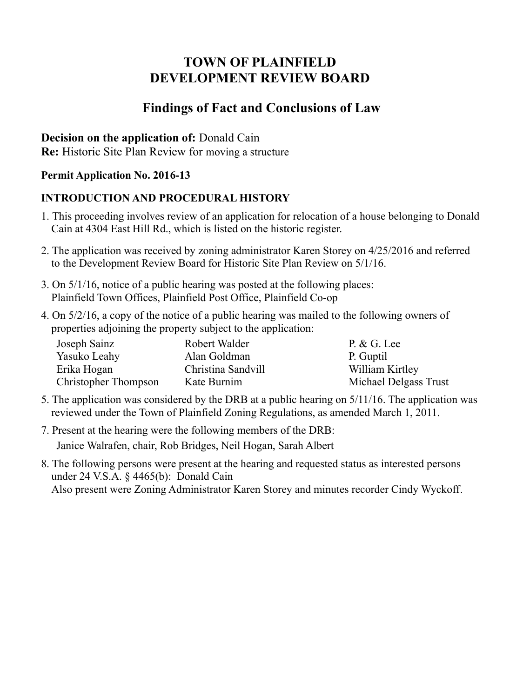# **TOWN OF PLAINFIELD DEVELOPMENT REVIEW BOARD**

# **Findings of Fact and Conclusions of Law**

### **Decision on the application of:** Donald Cain

**Re:** Historic Site Plan Review for moving a structure

### **Permit Application No. 2016-13**

## **INTRODUCTION AND PROCEDURAL HISTORY**

- 1. This proceeding involves review of an application for relocation of a house belonging to Donald Cain at 4304 East Hill Rd., which is listed on the historic register.
- 2. The application was received by zoning administrator Karen Storey on 4/25/2016 and referred to the Development Review Board for Historic Site Plan Review on 5/1/16.
- 3. On 5/1/16, notice of a public hearing was posted at the following places: Plainfield Town Offices, Plainfield Post Office, Plainfield Co-op
- 4. On 5/2/16, a copy of the notice of a public hearing was mailed to the following owners of properties adjoining the property subject to the application:

| Joseph Sainz         | Robert Walder      | $P. & G.$ Lee         |
|----------------------|--------------------|-----------------------|
| Yasuko Leahy         | Alan Goldman       | P. Guptil             |
| Erika Hogan          | Christina Sandvill | William Kirtley       |
| Christopher Thompson | Kate Burnim        | Michael Delgass Trust |

- 5. The application was considered by the DRB at a public hearing on 5/11/16. The application was reviewed under the Town of Plainfield Zoning Regulations, as amended March 1, 2011.
- 7. Present at the hearing were the following members of the DRB: Janice Walrafen, chair, Rob Bridges, Neil Hogan, Sarah Albert
- 8. The following persons were present at the hearing and requested status as interested persons under 24 V.S.A. § 4465(b): Donald Cain Also present were Zoning Administrator Karen Storey and minutes recorder Cindy Wyckoff.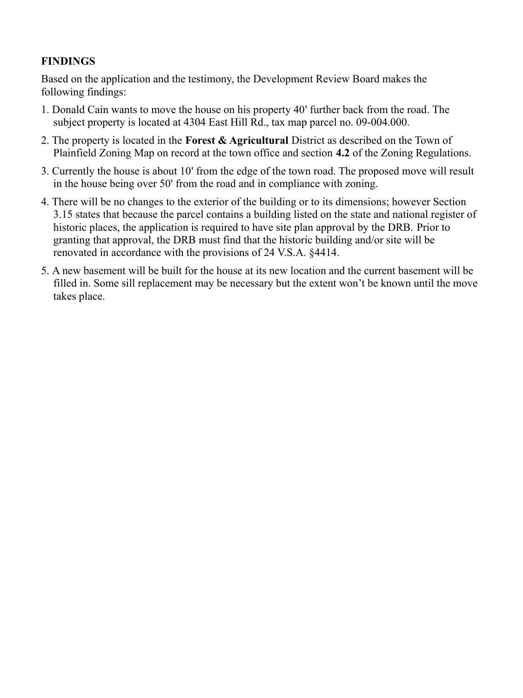#### **FINDINGS**

Based on the application and the testimony, the Development Review Board makes the following findings:

- 1. Donald Cain wants to move the house on his property 40' further back from the road. The subject property is located at 4304 East Hill Rd., tax map parcel no. 09-004.000.
- 2. The property is located in the **Forest & Agricultural** District as described on the Town of Plainfield Zoning Map on record at the town office and section **4.2** of the Zoning Regulations.
- 3. Currently the house is about 10' from the edge of the town road. The proposed move will result in the house being over 50' from the road and in compliance with zoning.
- 4. There will be no changes to the exterior of the building or to its dimensions; however Section 3.15 states that because the parcel contains a building listed on the state and national register of historic places, the application is required to have site plan approval by the DRB. Prior to granting that approval, the DRB must find that the historic building and/or site will be renovated in accordance with the provisions of 24 V.S.A. §4414.
- 5. A new basement will be built for the house at its new location and the current basement will be filled in. Some sill replacement may be necessary but the extent won't be known until the move takes place.